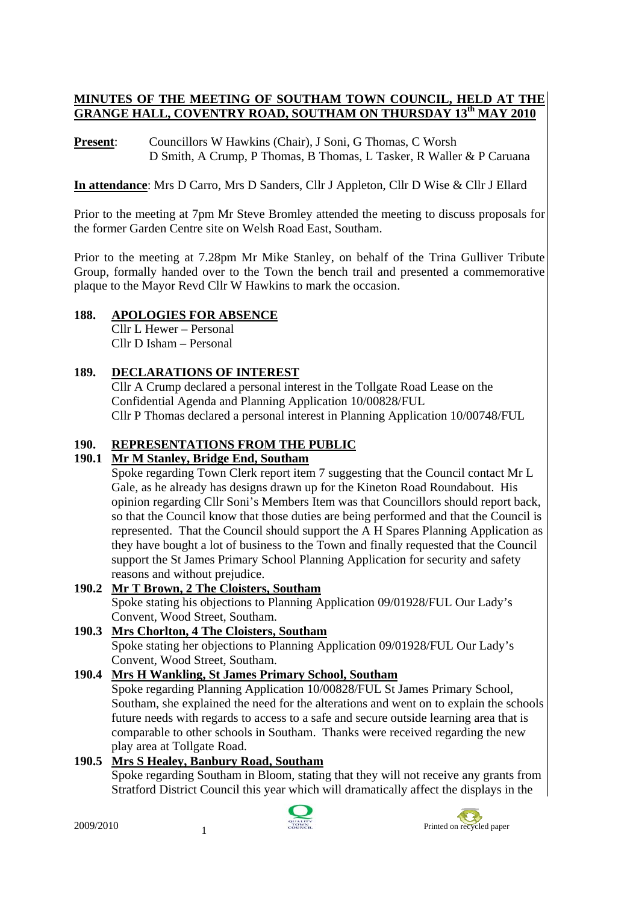# **MINUTES OF THE MEETING OF SOUTHAM TOWN COUNCIL, HELD AT THE GRANGE HALL, COVENTRY ROAD, SOUTHAM ON THURSDAY 13th MAY 2010**

Present: Councillors W Hawkins (Chair), J Soni, G Thomas, C Worsh D Smith, A Crump, P Thomas, B Thomas, L Tasker, R Waller & P Caruana

**In attendance**: Mrs D Carro, Mrs D Sanders, Cllr J Appleton, Cllr D Wise & Cllr J Ellard

Prior to the meeting at 7pm Mr Steve Bromley attended the meeting to discuss proposals for the former Garden Centre site on Welsh Road East, Southam.

Prior to the meeting at 7.28pm Mr Mike Stanley, on behalf of the Trina Gulliver Tribute Group, formally handed over to the Town the bench trail and presented a commemorative plaque to the Mayor Revd Cllr W Hawkins to mark the occasion.

# **188. APOLOGIES FOR ABSENCE**

Cllr L Hewer – Personal Cllr D Isham – Personal

# **189. DECLARATIONS OF INTEREST**

Cllr A Crump declared a personal interest in the Tollgate Road Lease on the Confidential Agenda and Planning Application 10/00828/FUL Cllr P Thomas declared a personal interest in Planning Application 10/00748/FUL

# **190. REPRESENTATIONS FROM THE PUBLIC**

# **190.1 Mr M Stanley, Bridge End, Southam**

Spoke regarding Town Clerk report item 7 suggesting that the Council contact Mr L Gale, as he already has designs drawn up for the Kineton Road Roundabout. His opinion regarding Cllr Soni's Members Item was that Councillors should report back, so that the Council know that those duties are being performed and that the Council is represented. That the Council should support the A H Spares Planning Application as they have bought a lot of business to the Town and finally requested that the Council support the St James Primary School Planning Application for security and safety reasons and without prejudice.

# **190.2 Mr T Brown, 2 The Cloisters, Southam**

Spoke stating his objections to Planning Application 09/01928/FUL Our Lady's Convent, Wood Street, Southam.

# **190.3 Mrs Chorlton, 4 The Cloisters, Southam**

Spoke stating her objections to Planning Application 09/01928/FUL Our Lady's Convent, Wood Street, Southam.

# **190.4 Mrs H Wankling, St James Primary School, Southam**

Spoke regarding Planning Application 10/00828/FUL St James Primary School, Southam, she explained the need for the alterations and went on to explain the schools future needs with regards to access to a safe and secure outside learning area that is comparable to other schools in Southam. Thanks were received regarding the new play area at Tollgate Road.

# **190.5 Mrs S Healey, Banbury Road, Southam**

Spoke regarding Southam in Bloom, stating that they will not receive any grants from Stratford District Council this year which will dramatically affect the displays in the



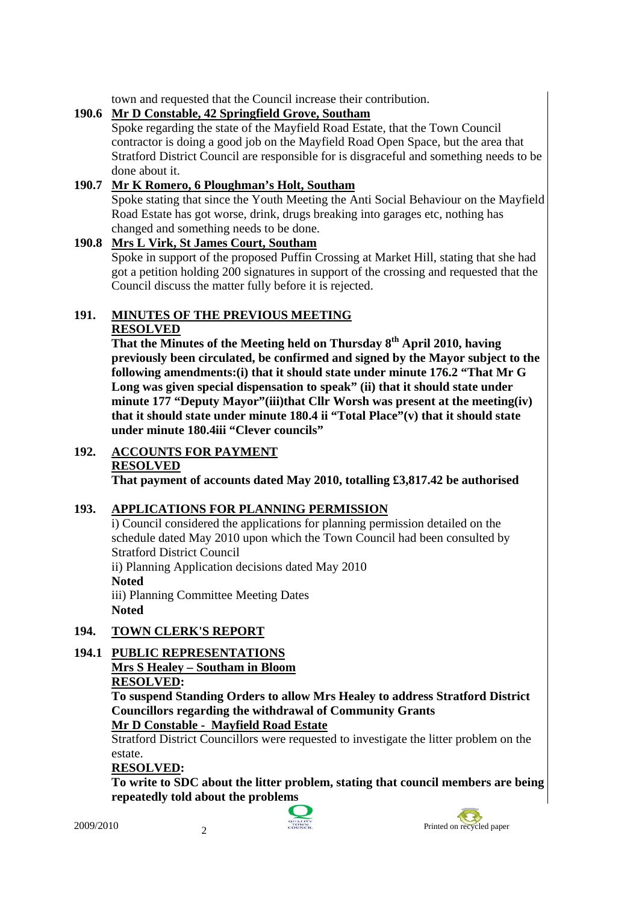town and requested that the Council increase their contribution.

# **190.6 Mr D Constable, 42 Springfield Grove, Southam**

Spoke regarding the state of the Mayfield Road Estate, that the Town Council contractor is doing a good job on the Mayfield Road Open Space, but the area that Stratford District Council are responsible for is disgraceful and something needs to be done about it.

# **190.7 Mr K Romero, 6 Ploughman's Holt, Southam**

Spoke stating that since the Youth Meeting the Anti Social Behaviour on the Mayfield Road Estate has got worse, drink, drugs breaking into garages etc, nothing has changed and something needs to be done.

# **190.8 Mrs L Virk, St James Court, Southam**

Spoke in support of the proposed Puffin Crossing at Market Hill, stating that she had got a petition holding 200 signatures in support of the crossing and requested that the Council discuss the matter fully before it is rejected.

# **191. MINUTES OF THE PREVIOUS MEETING**

# **RESOLVED**

 **That the Minutes of the Meeting held on Thursday 8th April 2010, having previously been circulated, be confirmed and signed by the Mayor subject to the following amendments:(i) that it should state under minute 176.2 "That Mr G Long was given special dispensation to speak" (ii) that it should state under minute 177 "Deputy Mayor"(iii)that Cllr Worsh was present at the meeting(iv) that it should state under minute 180.4 ii "Total Place"(v) that it should state under minute 180.4iii "Clever councils"** 

# **192. ACCOUNTS FOR PAYMENT**

#### **RESOLVED**

**That payment of accounts dated May 2010, totalling £3,817.42 be authorised** 

# **193. APPLICATIONS FOR PLANNING PERMISSION**

i) Council considered the applications for planning permission detailed on the schedule dated May 2010 upon which the Town Council had been consulted by Stratford District Council ii) Planning Application decisions dated May 2010

**Noted** 

iii) Planning Committee Meeting Dates **Noted** 

# **194. TOWN CLERK'S REPORT**

# **194.1 PUBLIC REPRESENTATIONS**

**Mrs S Healey – Southam in Bloom**

#### **RESOLVED:**

**To suspend Standing Orders to allow Mrs Healey to address Stratford District Councillors regarding the withdrawal of Community Grants Mr D Constable - Mayfield Road Estate**

Stratford District Councillors were requested to investigate the litter problem on the estate.

# **RESOLVED:**

**To write to SDC about the litter problem, stating that council members are being repeatedly told about the problems** 



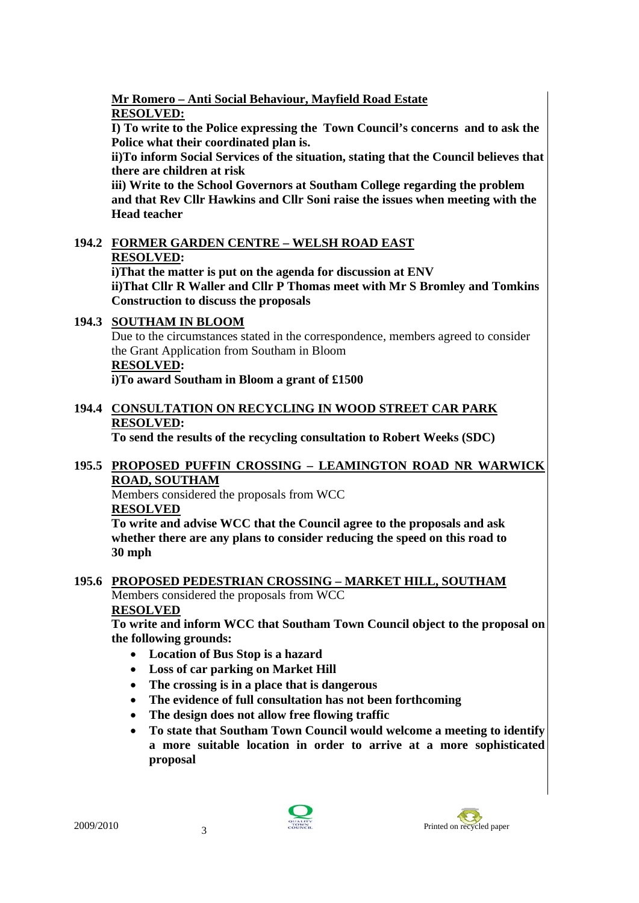#### **Mr Romero – Anti Social Behaviour, Mayfield Road Estate RESOLVED:**

**I) To write to the Police expressing the Town Council's concerns and to ask the Police what their coordinated plan is.** 

**ii)To inform Social Services of the situation, stating that the Council believes that there are children at risk** 

**iii) Write to the School Governors at Southam College regarding the problem and that Rev Cllr Hawkins and Cllr Soni raise the issues when meeting with the Head teacher** 

# **194.2 FORMER GARDEN CENTRE – WELSH ROAD EAST RESOLVED:**

**i)That the matter is put on the agenda for discussion at ENV ii)That Cllr R Waller and Cllr P Thomas meet with Mr S Bromley and Tomkins Construction to discuss the proposals** 

# **194.3 SOUTHAM IN BLOOM**

Due to the circumstances stated in the correspondence, members agreed to consider the Grant Application from Southam in Bloom **RESOLVED:** 

 **i)To award Southam in Bloom a grant of £1500** 

# **194.4 CONSULTATION ON RECYCLING IN WOOD STREET CAR PARK RESOLVED:**

**To send the results of the recycling consultation to Robert Weeks (SDC)** 

#### **195.5 PROPOSED PUFFIN CROSSING – LEAMINGTON ROAD NR WARWICK ROAD, SOUTHAM**

Members considered the proposals from WCC

# **RESOLVED**

**To write and advise WCC that the Council agree to the proposals and ask whether there are any plans to consider reducing the speed on this road to 30 mph** 

# **195.6 PROPOSED PEDESTRIAN CROSSING – MARKET HILL, SOUTHAM**

Members considered the proposals from WCC

# **RESOLVED**

**To write and inform WCC that Southam Town Council object to the proposal on the following grounds:** 

- **Location of Bus Stop is a hazard**
- **Loss of car parking on Market Hill**
- **The crossing is in a place that is dangerous**
- **The evidence of full consultation has not been forthcoming**
- **The design does not allow free flowing traffic**
- **To state that Southam Town Council would welcome a meeting to identify a more suitable location in order to arrive at a more sophisticated proposal**



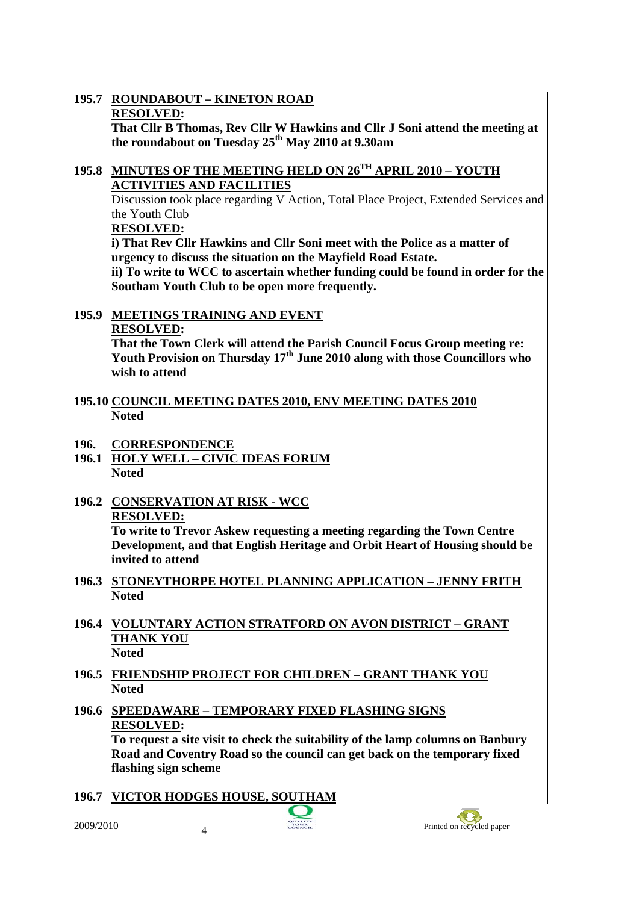#### **195.7 ROUNDABOUT – KINETON ROAD RESOLVED:**

**That Cllr B Thomas, Rev Cllr W Hawkins and Cllr J Soni attend the meeting at the roundabout on Tuesday 25th May 2010 at 9.30am** 

#### **195.8 MINUTES OF THE MEETING HELD ON 26TH APRIL 2010 – YOUTH ACTIVITIES AND FACILITIES**

Discussion took place regarding V Action, Total Place Project, Extended Services and the Youth Club

**RESOLVED:** 

**i) That Rev Cllr Hawkins and Cllr Soni meet with the Police as a matter of urgency to discuss the situation on the Mayfield Road Estate.** 

**ii) To write to WCC to ascertain whether funding could be found in order for the Southam Youth Club to be open more frequently.** 

# **195.9 MEETINGS TRAINING AND EVENT**

# **RESOLVED:**

**That the Town Clerk will attend the Parish Council Focus Group meeting re: Youth Provision on Thursday 17th June 2010 along with those Councillors who wish to attend** 

- **195.10 COUNCIL MEETING DATES 2010, ENV MEETING DATES 2010 Noted**
- **196. CORRESPONDENCE**
- **196.1 HOLY WELL CIVIC IDEAS FORUM Noted**
- **196.2 CONSERVATION AT RISK WCC RESOLVED:**

**To write to Trevor Askew requesting a meeting regarding the Town Centre Development, and that English Heritage and Orbit Heart of Housing should be invited to attend** 

- **196.3 STONEYTHORPE HOTEL PLANNING APPLICATION JENNY FRITH Noted**
- **196.4 VOLUNTARY ACTION STRATFORD ON AVON DISTRICT GRANT THANK YOU Noted**
- **196.5 FRIENDSHIP PROJECT FOR CHILDREN GRANT THANK YOU Noted**
- **196.6 SPEEDAWARE TEMPORARY FIXED FLASHING SIGNS RESOLVED:**

**To request a site visit to check the suitability of the lamp columns on Banbury Road and Coventry Road so the council can get back on the temporary fixed flashing sign scheme** 

**196.7 VICTOR HODGES HOUSE, SOUTHAM** 

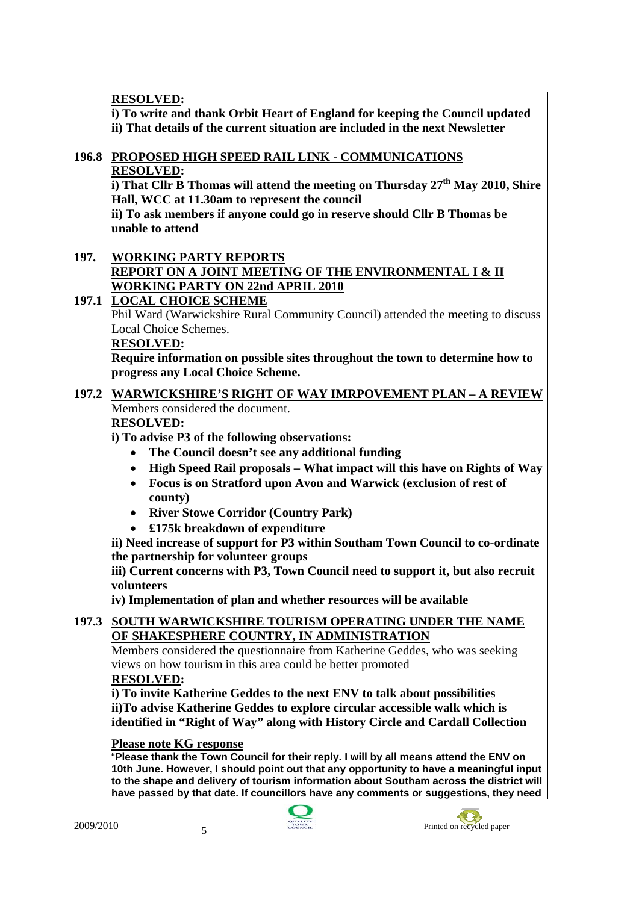**RESOLVED:** 

**i) To write and thank Orbit Heart of England for keeping the Council updated ii) That details of the current situation are included in the next Newsletter** 

#### **196.8 PROPOSED HIGH SPEED RAIL LINK - COMMUNICATIONS RESOLVED:**

**i) That Cllr B Thomas will attend the meeting on Thursday 27th May 2010, Shire Hall, WCC at 11.30am to represent the council** 

**ii) To ask members if anyone could go in reserve should Cllr B Thomas be unable to attend** 

#### **197. WORKING PARTY REPORTS REPORT ON A JOINT MEETING OF THE ENVIRONMENTAL I & II WORKING PARTY ON 22nd APRIL 2010**

# **197.1 LOCAL CHOICE SCHEME**

Phil Ward (Warwickshire Rural Community Council) attended the meeting to discuss Local Choice Schemes.

#### **RESOLVED:**

 **Require information on possible sites throughout the town to determine how to progress any Local Choice Scheme.** 

# **197.2 WARWICKSHIRE'S RIGHT OF WAY IMRPOVEMENT PLAN – A REVIEW** Members considered the document.

#### **RESOLVED:**

**i) To advise P3 of the following observations:** 

- **The Council doesn't see any additional funding**
- **High Speed Rail proposals What impact will this have on Rights of Way**
- **Focus is on Stratford upon Avon and Warwick (exclusion of rest of county)**
- **River Stowe Corridor (Country Park)**
- **£175k breakdown of expenditure**

**ii) Need increase of support for P3 within Southam Town Council to co-ordinate the partnership for volunteer groups** 

**iii) Current concerns with P3, Town Council need to support it, but also recruit volunteers** 

**iv) Implementation of plan and whether resources will be available** 

# **197.3 SOUTH WARWICKSHIRE TOURISM OPERATING UNDER THE NAME OF SHAKESPHERE COUNTRY, IN ADMINISTRATION**

Members considered the questionnaire from Katherine Geddes, who was seeking views on how tourism in this area could be better promoted

#### **RESOLVED:**

**i) To invite Katherine Geddes to the next ENV to talk about possibilities ii)To advise Katherine Geddes to explore circular accessible walk which is identified in "Right of Way" along with History Circle and Cardall Collection** 

#### **Please note KG response**

"**Please thank the Town Council for their reply. I will by all means attend the ENV on 10th June. However, I should point out that any opportunity to have a meaningful input to the shape and delivery of tourism information about Southam across the district will have passed by that date. If councillors have any comments or suggestions, they need** 



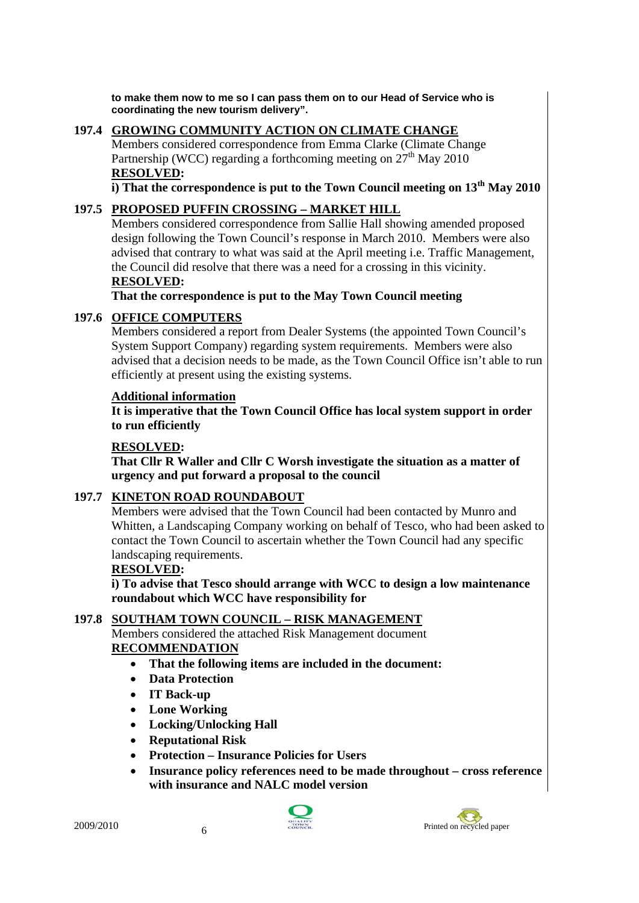**to make them now to me so I can pass them on to our Head of Service who is coordinating the new tourism delivery".** 

# **197.4 GROWING COMMUNITY ACTION ON CLIMATE CHANGE**

Members considered correspondence from Emma Clarke (Climate Change Partnership (WCC) regarding a forthcoming meeting on  $27<sup>th</sup>$  May 2010 **RESOLVED:** 

**i) That the correspondence is put to the Town Council meeting on 13th May 2010** 

#### **197.5 PROPOSED PUFFIN CROSSING – MARKET HILL**

Members considered correspondence from Sallie Hall showing amended proposed design following the Town Council's response in March 2010. Members were also advised that contrary to what was said at the April meeting i.e. Traffic Management, the Council did resolve that there was a need for a crossing in this vicinity. **RESOLVED:** 

**That the correspondence is put to the May Town Council meeting** 

#### **197.6 OFFICE COMPUTERS**

Members considered a report from Dealer Systems (the appointed Town Council's System Support Company) regarding system requirements. Members were also advised that a decision needs to be made, as the Town Council Office isn't able to run efficiently at present using the existing systems.

#### **Additional information**

**It is imperative that the Town Council Office has local system support in order to run efficiently** 

#### **RESOLVED:**

**That Cllr R Waller and Cllr C Worsh investigate the situation as a matter of urgency and put forward a proposal to the council** 

# **197.7 KINETON ROAD ROUNDABOUT**

Members were advised that the Town Council had been contacted by Munro and Whitten, a Landscaping Company working on behalf of Tesco, who had been asked to contact the Town Council to ascertain whether the Town Council had any specific landscaping requirements.

#### **RESOLVED:**

**i) To advise that Tesco should arrange with WCC to design a low maintenance roundabout which WCC have responsibility for** 

#### **197.8 SOUTHAM TOWN COUNCIL – RISK MANAGEMENT**

Members considered the attached Risk Management document **RECOMMENDATION**

- **That the following items are included in the document:**
- **Data Protection**
- **IT Back-up**
- **Lone Working**
- **Locking/Unlocking Hall**
- **Reputational Risk**
- **Protection Insurance Policies for Users**
- **Insurance policy references need to be made throughout cross reference with insurance and NALC model version**



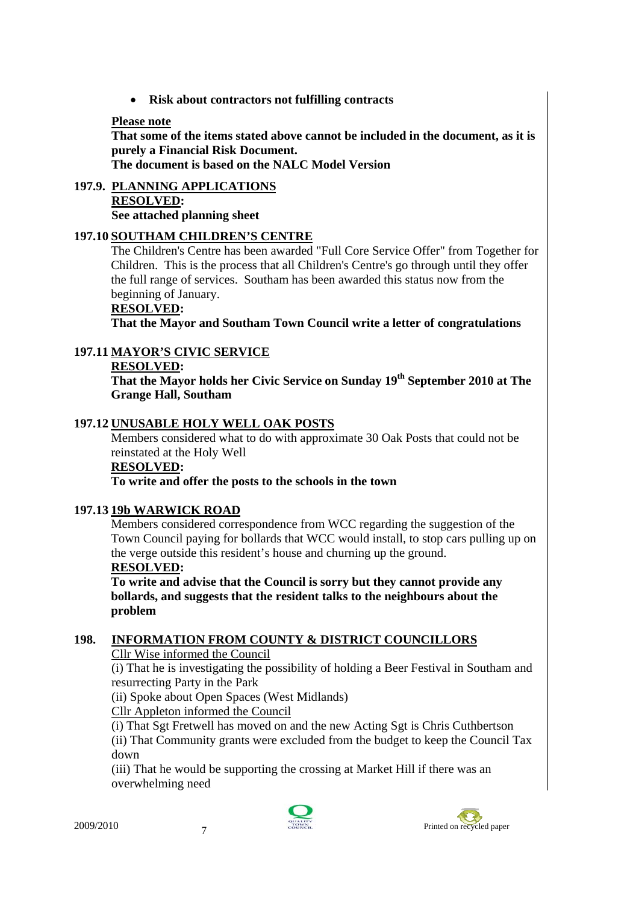• **Risk about contractors not fulfilling contracts** 

#### **Please note**

**That some of the items stated above cannot be included in the document, as it is purely a Financial Risk Document. The document is based on the NALC Model Version** 

**197.9. PLANNING APPLICATIONS RESOLVED: See attached planning sheet** 

#### **197.10 SOUTHAM CHILDREN'S CENTRE**

The Children's Centre has been awarded "Full Core Service Offer" from Together for Children. This is the process that all Children's Centre's go through until they offer the full range of services. Southam has been awarded this status now from the beginning of January.

#### **RESOLVED:**

**That the Mayor and Southam Town Council write a letter of congratulations** 

# **197.11 MAYOR'S CIVIC SERVICE**

#### **RESOLVED:**

That the Mayor holds her Civic Service on Sunday 19<sup>th</sup> September 2010 at The **Grange Hall, Southam** 

#### **197.12 UNUSABLE HOLY WELL OAK POSTS**

Members considered what to do with approximate 30 Oak Posts that could not be reinstated at the Holy Well

#### **RESOLVED:**

#### **To write and offer the posts to the schools in the town**

#### **197.13 19b WARWICK ROAD**

 Members considered correspondence from WCC regarding the suggestion of the Town Council paying for bollards that WCC would install, to stop cars pulling up on the verge outside this resident's house and churning up the ground.

#### **RESOLVED:**

 **To write and advise that the Council is sorry but they cannot provide any bollards, and suggests that the resident talks to the neighbours about the problem** 

# **198. INFORMATION FROM COUNTY & DISTRICT COUNCILLORS**

Cllr Wise informed the Council

(i) That he is investigating the possibility of holding a Beer Festival in Southam and resurrecting Party in the Park

(ii) Spoke about Open Spaces (West Midlands)

Cllr Appleton informed the Council

(i) That Sgt Fretwell has moved on and the new Acting Sgt is Chris Cuthbertson (ii) That Community grants were excluded from the budget to keep the Council Tax down

(iii) That he would be supporting the crossing at Market Hill if there was an overwhelming need



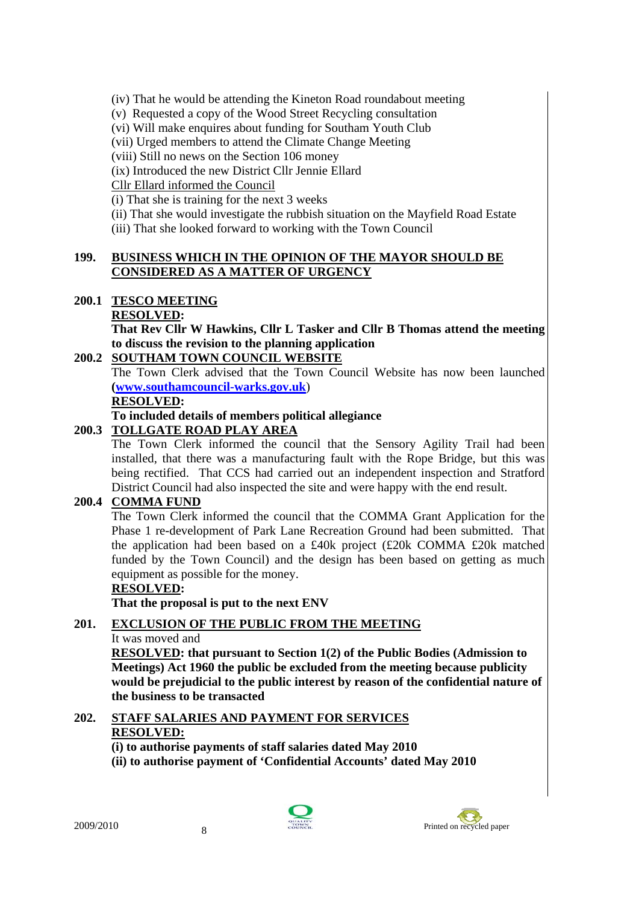(iv) That he would be attending the Kineton Road roundabout meeting

(v) Requested a copy of the Wood Street Recycling consultation

(vi) Will make enquires about funding for Southam Youth Club

(vii) Urged members to attend the Climate Change Meeting

(viii) Still no news on the Section 106 money

(ix) Introduced the new District Cllr Jennie Ellard

Cllr Ellard informed the Council

(i) That she is training for the next 3 weeks

(ii) That she would investigate the rubbish situation on the Mayfield Road Estate

(iii) That she looked forward to working with the Town Council

#### **199. BUSINESS WHICH IN THE OPINION OF THE MAYOR SHOULD BE CONSIDERED AS A MATTER OF URGENCY**

# **200.1 TESCO MEETING**

 **RESOLVED:** 

**That Rev Cllr W Hawkins, Cllr L Tasker and Cllr B Thomas attend the meeting to discuss the revision to the planning application** 

# **200.2 SOUTHAM TOWN COUNCIL WEBSITE**

The Town Clerk advised that the Town Council Website has now been launched **(www.southamcouncil-warks.gov.uk**)

**RESOLVED:** 

#### **To included details of members political allegiance**

# **200.3 TOLLGATE ROAD PLAY AREA**

The Town Clerk informed the council that the Sensory Agility Trail had been installed, that there was a manufacturing fault with the Rope Bridge, but this was being rectified. That CCS had carried out an independent inspection and Stratford District Council had also inspected the site and were happy with the end result.

# **200.4 COMMA FUND**

The Town Clerk informed the council that the COMMA Grant Application for the Phase 1 re-development of Park Lane Recreation Ground had been submitted. That the application had been based on a £40k project (£20k COMMA £20k matched funded by the Town Council) and the design has been based on getting as much equipment as possible for the money.

# **RESOLVED:**

**That the proposal is put to the next ENV** 

# **201. EXCLUSION OF THE PUBLIC FROM THE MEETING**

# It was moved and

**RESOLVED: that pursuant to Section 1(2) of the Public Bodies (Admission to Meetings) Act 1960 the public be excluded from the meeting because publicity would be prejudicial to the public interest by reason of the confidential nature of the business to be transacted** 

# **202. STAFF SALARIES AND PAYMENT FOR SERVICES**

# **RESOLVED:**

**(i) to authorise payments of staff salaries dated May 2010** 

**(ii) to authorise payment of 'Confidential Accounts' dated May 2010** 



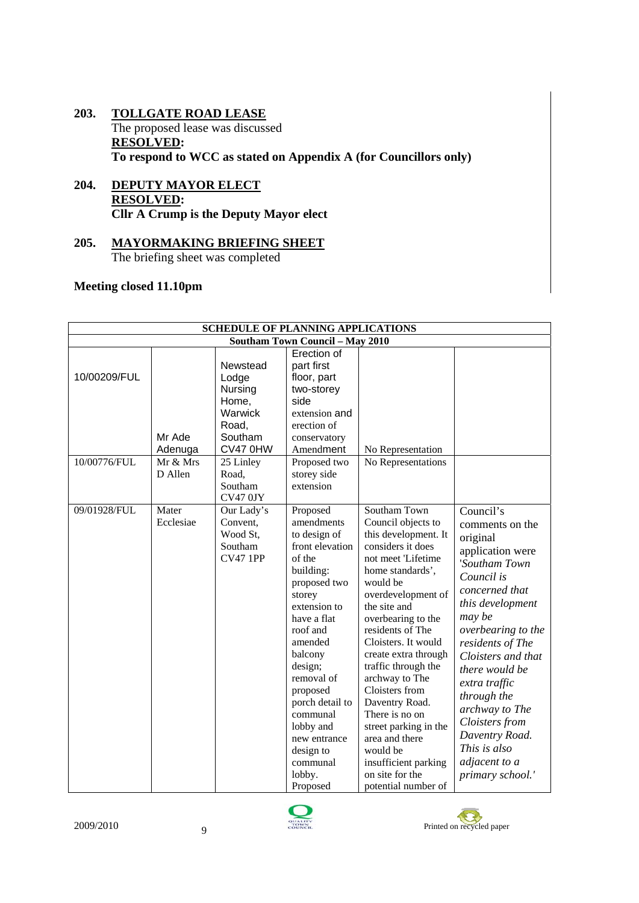- **203. TOLLGATE ROAD LEASE** The proposed lease was discussed **RESOLVED: To respond to WCC as stated on Appendix A (for Councillors only)**
- **204. DEPUTY MAYOR ELECT RESOLVED: Cllr A Crump is the Deputy Mayor elect**
- **205. MAYORMAKING BRIEFING SHEET** The briefing sheet was completed

# **Meeting closed 11.10pm**

| <b>SCHEDULE OF PLANNING APPLICATIONS</b> |                     |                                                                                  |                                                                                                                                                                                                                                                                                                                             |                                                                                                                                                                                                                                                                                                                                                                                                                                                                                              |                                                                                                                                                                                                                                                                                                                                                                          |  |  |  |  |  |
|------------------------------------------|---------------------|----------------------------------------------------------------------------------|-----------------------------------------------------------------------------------------------------------------------------------------------------------------------------------------------------------------------------------------------------------------------------------------------------------------------------|----------------------------------------------------------------------------------------------------------------------------------------------------------------------------------------------------------------------------------------------------------------------------------------------------------------------------------------------------------------------------------------------------------------------------------------------------------------------------------------------|--------------------------------------------------------------------------------------------------------------------------------------------------------------------------------------------------------------------------------------------------------------------------------------------------------------------------------------------------------------------------|--|--|--|--|--|
| <b>Southam Town Council - May 2010</b>   |                     |                                                                                  |                                                                                                                                                                                                                                                                                                                             |                                                                                                                                                                                                                                                                                                                                                                                                                                                                                              |                                                                                                                                                                                                                                                                                                                                                                          |  |  |  |  |  |
| 10/00209/FUL                             | Mr Ade<br>Adenuga   | Newstead<br>Lodge<br>Nursing<br>Home,<br>Warwick<br>Road,<br>Southam<br>CV47 0HW | Erection of<br>part first<br>floor, part<br>two-storey<br>side<br>extension and<br>erection of<br>conservatory<br>Amendment                                                                                                                                                                                                 | No Representation                                                                                                                                                                                                                                                                                                                                                                                                                                                                            |                                                                                                                                                                                                                                                                                                                                                                          |  |  |  |  |  |
| 10/00776/FUL                             | Mr & Mrs<br>D Allen | 25 Linley<br>Road,<br>Southam<br>CV470JY                                         | Proposed two<br>storey side<br>extension                                                                                                                                                                                                                                                                                    | No Representations                                                                                                                                                                                                                                                                                                                                                                                                                                                                           |                                                                                                                                                                                                                                                                                                                                                                          |  |  |  |  |  |
| 09/01928/FUL                             | Mater<br>Ecclesiae  | Our Lady's<br>Convent,<br>Wood St,<br>Southam<br><b>CV47 1PP</b>                 | Proposed<br>amendments<br>to design of<br>front elevation<br>of the<br>building:<br>proposed two<br>storey<br>extension to<br>have a flat<br>roof and<br>amended<br>balcony<br>design;<br>removal of<br>proposed<br>porch detail to<br>communal<br>lobby and<br>new entrance<br>design to<br>communal<br>lobby.<br>Proposed | Southam Town<br>Council objects to<br>this development. It<br>considers it does<br>not meet 'Lifetime<br>home standards',<br>would be<br>overdevelopment of<br>the site and<br>overbearing to the<br>residents of The<br>Cloisters. It would<br>create extra through<br>traffic through the<br>archway to The<br>Cloisters from<br>Daventry Road.<br>There is no on<br>street parking in the<br>area and there<br>would be<br>insufficient parking<br>on site for the<br>potential number of | Council's<br>comments on the<br>original<br>application were<br>'Southam Town<br>Council is<br>concerned that<br>this development<br>may be<br>overbearing to the<br>residents of The<br>Cloisters and that<br>there would be<br>extra traffic<br>through the<br>archway to The<br>Cloisters from<br>Daventry Road.<br>This is also<br>adjacent to a<br>primary school.' |  |  |  |  |  |